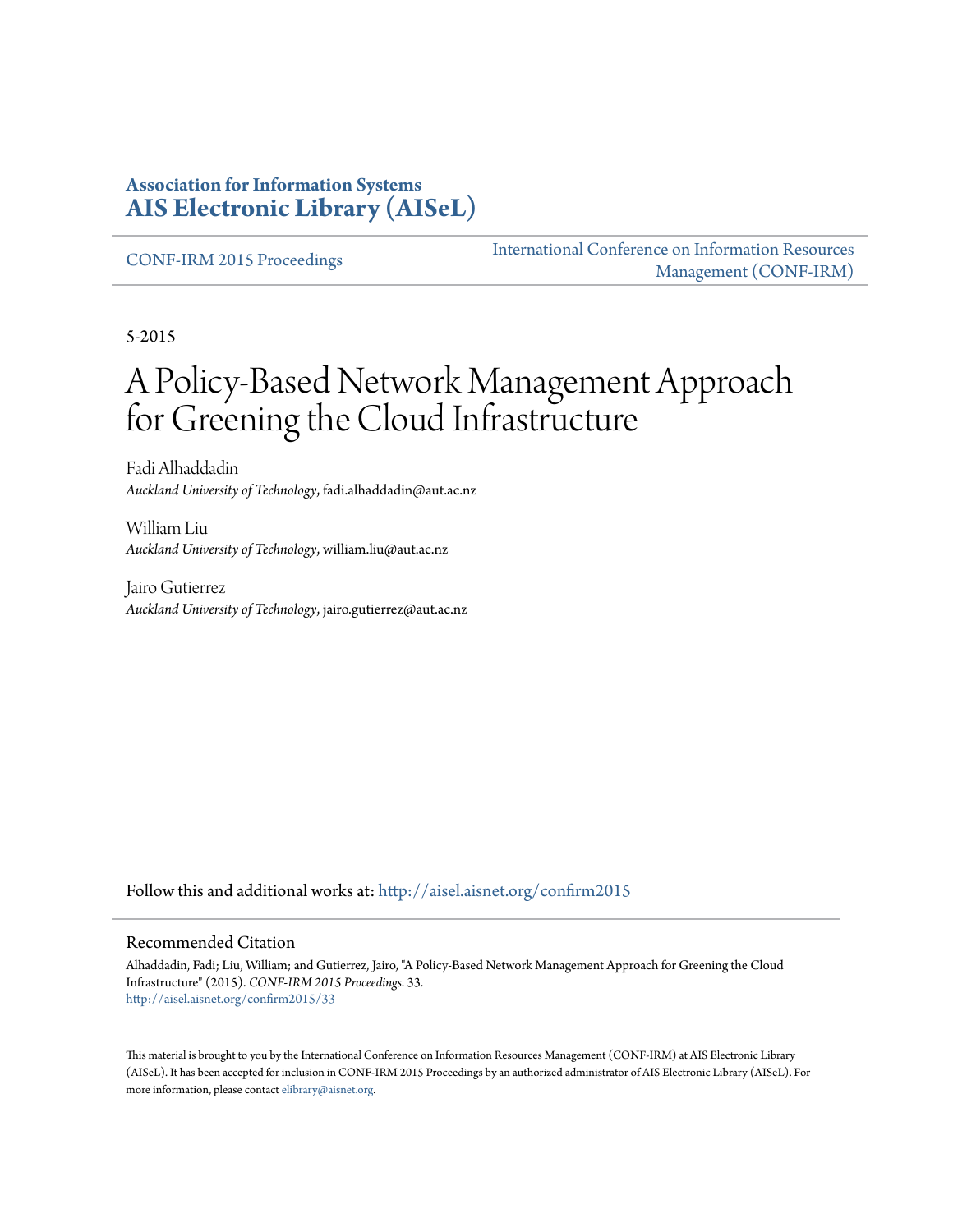#### **Association for Information Systems [AIS Electronic Library \(AISeL\)](http://aisel.aisnet.org?utm_source=aisel.aisnet.org%2Fconfirm2015%2F33&utm_medium=PDF&utm_campaign=PDFCoverPages)**

[CONF-IRM 2015 Proceedings](http://aisel.aisnet.org/confirm2015?utm_source=aisel.aisnet.org%2Fconfirm2015%2F33&utm_medium=PDF&utm_campaign=PDFCoverPages)

[International Conference on Information Resources](http://aisel.aisnet.org/conf-irm?utm_source=aisel.aisnet.org%2Fconfirm2015%2F33&utm_medium=PDF&utm_campaign=PDFCoverPages) [Management \(CONF-IRM\)](http://aisel.aisnet.org/conf-irm?utm_source=aisel.aisnet.org%2Fconfirm2015%2F33&utm_medium=PDF&utm_campaign=PDFCoverPages)

5-2015

# A Policy-Based Network Management Approach for Greening the Cloud Infrastructure

Fadi Alhaddadin *Auckland University of Technology*, fadi.alhaddadin@aut.ac.nz

William Liu *Auckland University of Technology*, william.liu@aut.ac.nz

Jairo Gutierrez *Auckland University of Technology*, jairo.gutierrez@aut.ac.nz

Follow this and additional works at: [http://aisel.aisnet.org/confirm2015](http://aisel.aisnet.org/confirm2015?utm_source=aisel.aisnet.org%2Fconfirm2015%2F33&utm_medium=PDF&utm_campaign=PDFCoverPages)

#### Recommended Citation

Alhaddadin, Fadi; Liu, William; and Gutierrez, Jairo, "A Policy-Based Network Management Approach for Greening the Cloud Infrastructure" (2015). *CONF-IRM 2015 Proceedings*. 33. [http://aisel.aisnet.org/confirm2015/33](http://aisel.aisnet.org/confirm2015/33?utm_source=aisel.aisnet.org%2Fconfirm2015%2F33&utm_medium=PDF&utm_campaign=PDFCoverPages)

This material is brought to you by the International Conference on Information Resources Management (CONF-IRM) at AIS Electronic Library (AISeL). It has been accepted for inclusion in CONF-IRM 2015 Proceedings by an authorized administrator of AIS Electronic Library (AISeL). For more information, please contact [elibrary@aisnet.org.](mailto:elibrary@aisnet.org%3E)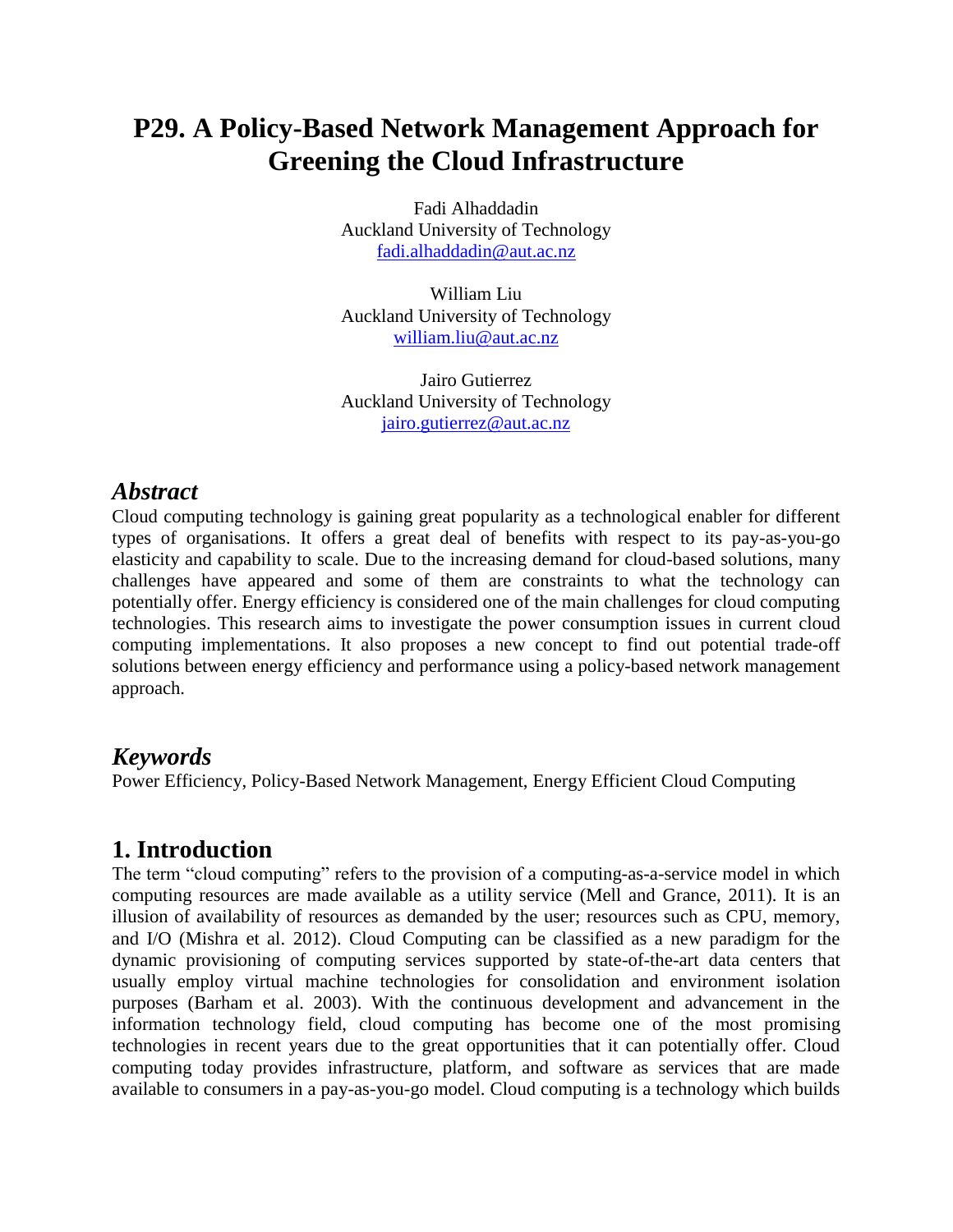## **P29. A Policy-Based Network Management Approach for Greening the Cloud Infrastructure**

Fadi Alhaddadin Auckland University of Technology [fadi.alhaddadin@aut.ac.nz](mailto:fadi.alhaddadin@aut.ac.nz)

William Liu Auckland University of Technology [william.liu@aut.ac.nz](mailto:william.liu@aut.ac.nz)

Jairo Gutierrez Auckland University of Technology [jairo.gutierrez@aut.ac.nz](mailto:jairo.gutierrez@aut.ac.nz)

#### *Abstract*

Cloud computing technology is gaining great popularity as a technological enabler for different types of organisations. It offers a great deal of benefits with respect to its pay-as-you-go elasticity and capability to scale. Due to the increasing demand for cloud-based solutions, many challenges have appeared and some of them are constraints to what the technology can potentially offer. Energy efficiency is considered one of the main challenges for cloud computing technologies. This research aims to investigate the power consumption issues in current cloud computing implementations. It also proposes a new concept to find out potential trade-off solutions between energy efficiency and performance using a policy-based network management approach.

#### *Keywords*

Power Efficiency, Policy-Based Network Management, Energy Efficient Cloud Computing

### **1. Introduction**

The term "cloud computing" refers to the provision of a computing-as-a-service model in which computing resources are made available as a utility service (Mell and Grance, 2011). It is an illusion of availability of resources as demanded by the user; resources such as CPU, memory, and I/O (Mishra et al. 2012). Cloud Computing can be classified as a new paradigm for the dynamic provisioning of computing services supported by state-of-the-art data centers that usually employ virtual machine technologies for consolidation and environment isolation purposes (Barham et al. 2003). With the continuous development and advancement in the information technology field, cloud computing has become one of the most promising technologies in recent years due to the great opportunities that it can potentially offer. Cloud computing today provides infrastructure, platform, and software as services that are made available to consumers in a pay-as-you-go model. Cloud computing is a technology which builds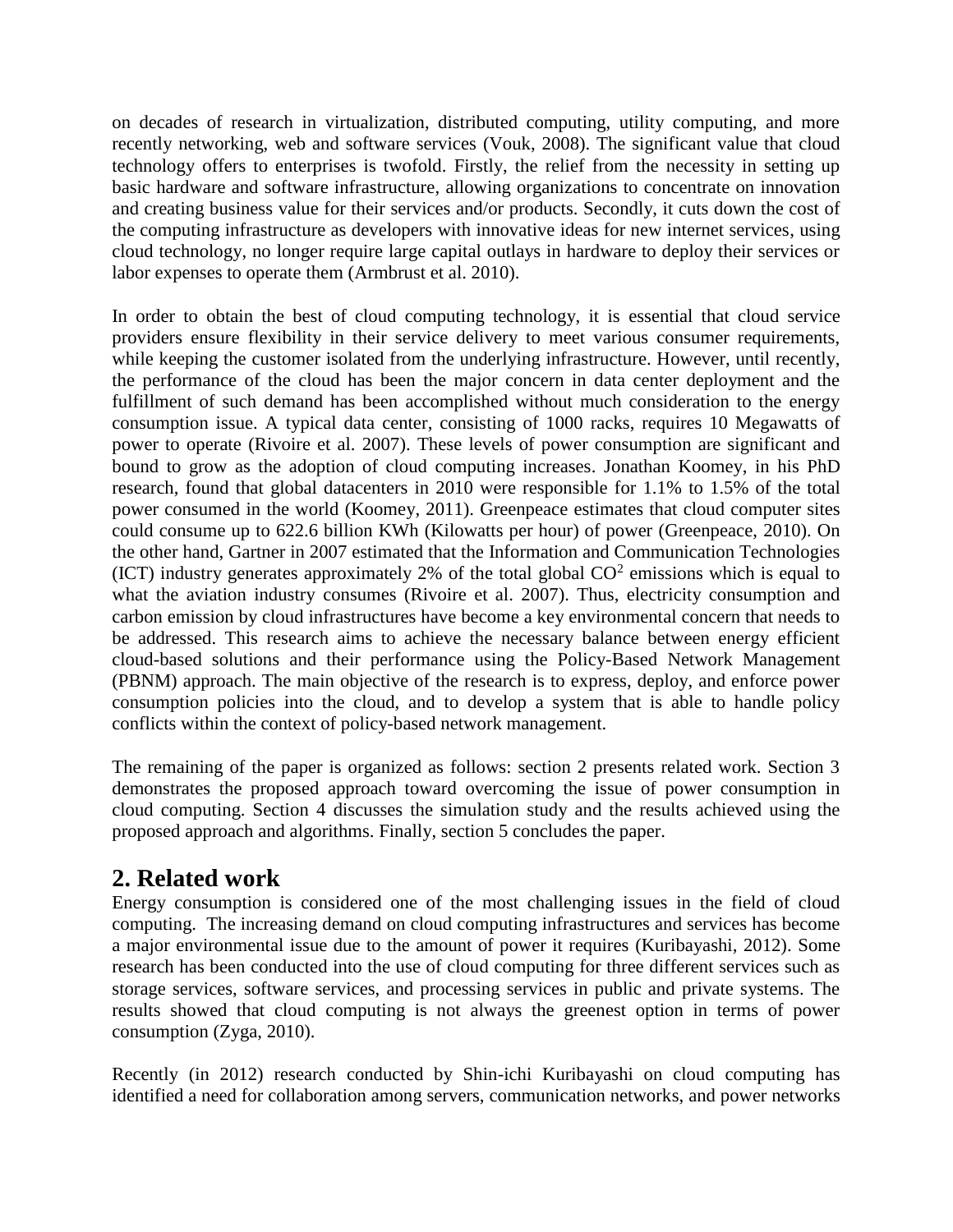on decades of research in virtualization, distributed computing, utility computing, and more recently networking, web and software services (Vouk, 2008). The significant value that cloud technology offers to enterprises is twofold. Firstly, the relief from the necessity in setting up basic hardware and software infrastructure, allowing organizations to concentrate on innovation and creating business value for their services and/or products. Secondly, it cuts down the cost of the computing infrastructure as developers with innovative ideas for new internet services, using cloud technology, no longer require large capital outlays in hardware to deploy their services or labor expenses to operate them (Armbrust et al. 2010).

In order to obtain the best of cloud computing technology, it is essential that cloud service providers ensure flexibility in their service delivery to meet various consumer requirements, while keeping the customer isolated from the underlying infrastructure. However, until recently, the performance of the cloud has been the major concern in data center deployment and the fulfillment of such demand has been accomplished without much consideration to the energy consumption issue. A typical data center, consisting of 1000 racks, requires 10 Megawatts of power to operate (Rivoire et al. 2007). These levels of power consumption are significant and bound to grow as the adoption of cloud computing increases. Jonathan Koomey, in his PhD research, found that global datacenters in 2010 were responsible for 1.1% to 1.5% of the total power consumed in the world (Koomey, 2011). Greenpeace estimates that cloud computer sites could consume up to 622.6 billion KWh (Kilowatts per hour) of power (Greenpeace, 2010). On the other hand, Gartner in 2007 estimated that the Information and Communication Technologies (ICT) industry generates approximately 2% of the total global  $CO<sup>2</sup>$  emissions which is equal to what the aviation industry consumes (Rivoire et al. 2007). Thus, electricity consumption and carbon emission by cloud infrastructures have become a key environmental concern that needs to be addressed. This research aims to achieve the necessary balance between energy efficient cloud-based solutions and their performance using the Policy-Based Network Management (PBNM) approach. The main objective of the research is to express, deploy, and enforce power consumption policies into the cloud, and to develop a system that is able to handle policy conflicts within the context of policy-based network management.

The remaining of the paper is organized as follows: section 2 presents related work. Section 3 demonstrates the proposed approach toward overcoming the issue of power consumption in cloud computing. Section 4 discusses the simulation study and the results achieved using the proposed approach and algorithms. Finally, section 5 concludes the paper.

### **2. Related work**

Energy consumption is considered one of the most challenging issues in the field of cloud computing. The increasing demand on cloud computing infrastructures and services has become a major environmental issue due to the amount of power it requires (Kuribayashi, 2012). Some research has been conducted into the use of cloud computing for three different services such as storage services, software services, and processing services in public and private systems. The results showed that cloud computing is not always the greenest option in terms of power consumption (Zyga, 2010).

Recently (in 2012) research conducted by Shin-ichi Kuribayashi on cloud computing has identified a need for collaboration among servers, communication networks, and power networks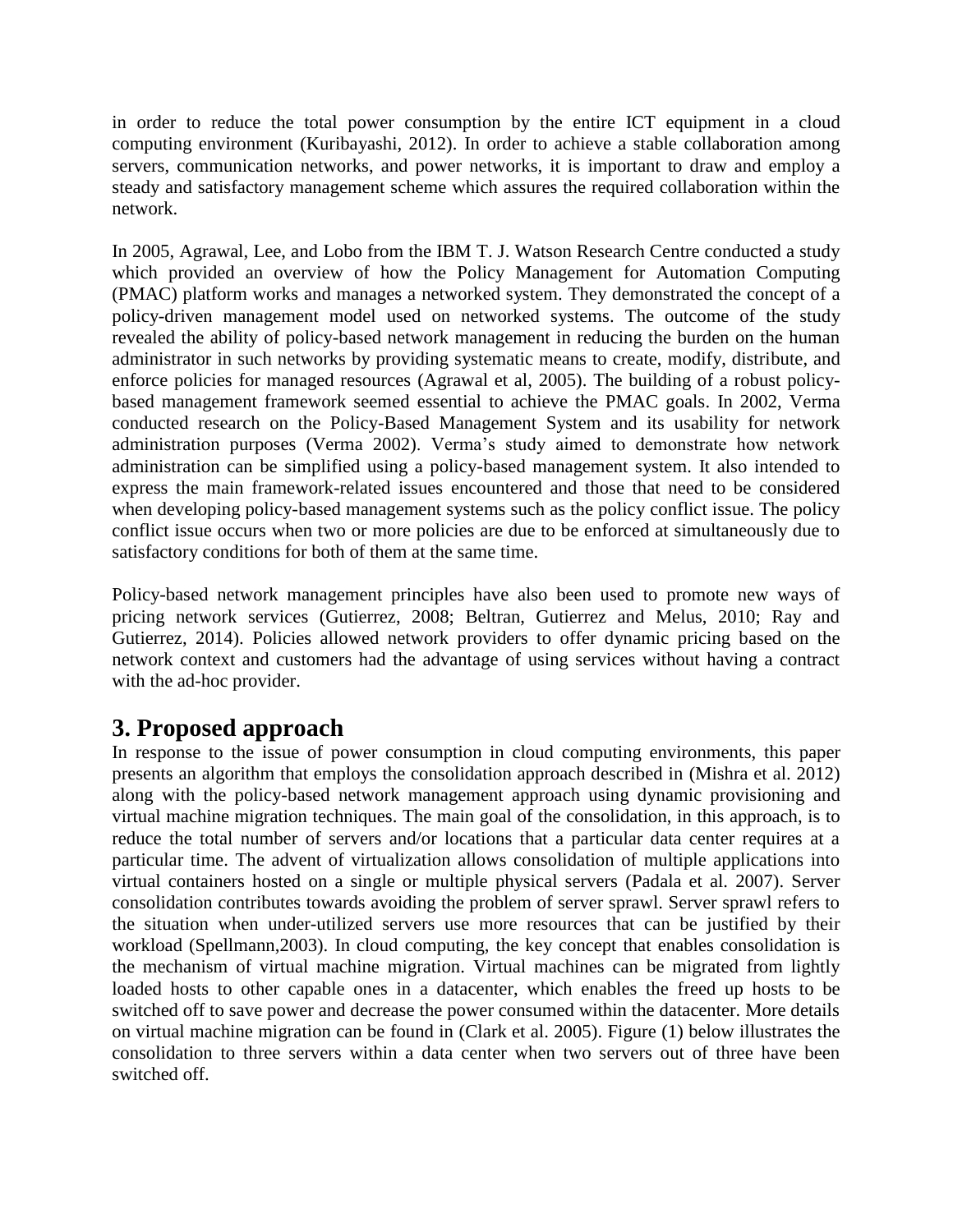in order to reduce the total power consumption by the entire ICT equipment in a cloud computing environment (Kuribayashi, 2012). In order to achieve a stable collaboration among servers, communication networks, and power networks, it is important to draw and employ a steady and satisfactory management scheme which assures the required collaboration within the network.

In 2005, Agrawal, Lee, and Lobo from the IBM T. J. Watson Research Centre conducted a study which provided an overview of how the Policy Management for Automation Computing (PMAC) platform works and manages a networked system. They demonstrated the concept of a policy-driven management model used on networked systems. The outcome of the study revealed the ability of policy-based network management in reducing the burden on the human administrator in such networks by providing systematic means to create, modify, distribute, and enforce policies for managed resources (Agrawal et al, 2005). The building of a robust policybased management framework seemed essential to achieve the PMAC goals. In 2002, Verma conducted research on the Policy-Based Management System and its usability for network administration purposes (Verma 2002). Verma's study aimed to demonstrate how network administration can be simplified using a policy-based management system. It also intended to express the main framework-related issues encountered and those that need to be considered when developing policy-based management systems such as the policy conflict issue. The policy conflict issue occurs when two or more policies are due to be enforced at simultaneously due to satisfactory conditions for both of them at the same time.

Policy-based network management principles have also been used to promote new ways of pricing network services (Gutierrez, 2008; Beltran, Gutierrez and Melus, 2010; Ray and Gutierrez, 2014). Policies allowed network providers to offer dynamic pricing based on the network context and customers had the advantage of using services without having a contract with the ad-hoc provider.

## **3. Proposed approach**

In response to the issue of power consumption in cloud computing environments, this paper presents an algorithm that employs the consolidation approach described in (Mishra et al. 2012) along with the policy-based network management approach using dynamic provisioning and virtual machine migration techniques. The main goal of the consolidation, in this approach, is to reduce the total number of servers and/or locations that a particular data center requires at a particular time. The advent of virtualization allows consolidation of multiple applications into virtual containers hosted on a single or multiple physical servers (Padala et al. 2007). Server consolidation contributes towards avoiding the problem of server sprawl. Server sprawl refers to the situation when under-utilized servers use more resources that can be justified by their workload (Spellmann,2003). In cloud computing, the key concept that enables consolidation is the mechanism of virtual machine migration. Virtual machines can be migrated from lightly loaded hosts to other capable ones in a datacenter, which enables the freed up hosts to be switched off to save power and decrease the power consumed within the datacenter. More details on virtual machine migration can be found in (Clark et al. 2005). Figure (1) below illustrates the consolidation to three servers within a data center when two servers out of three have been switched off.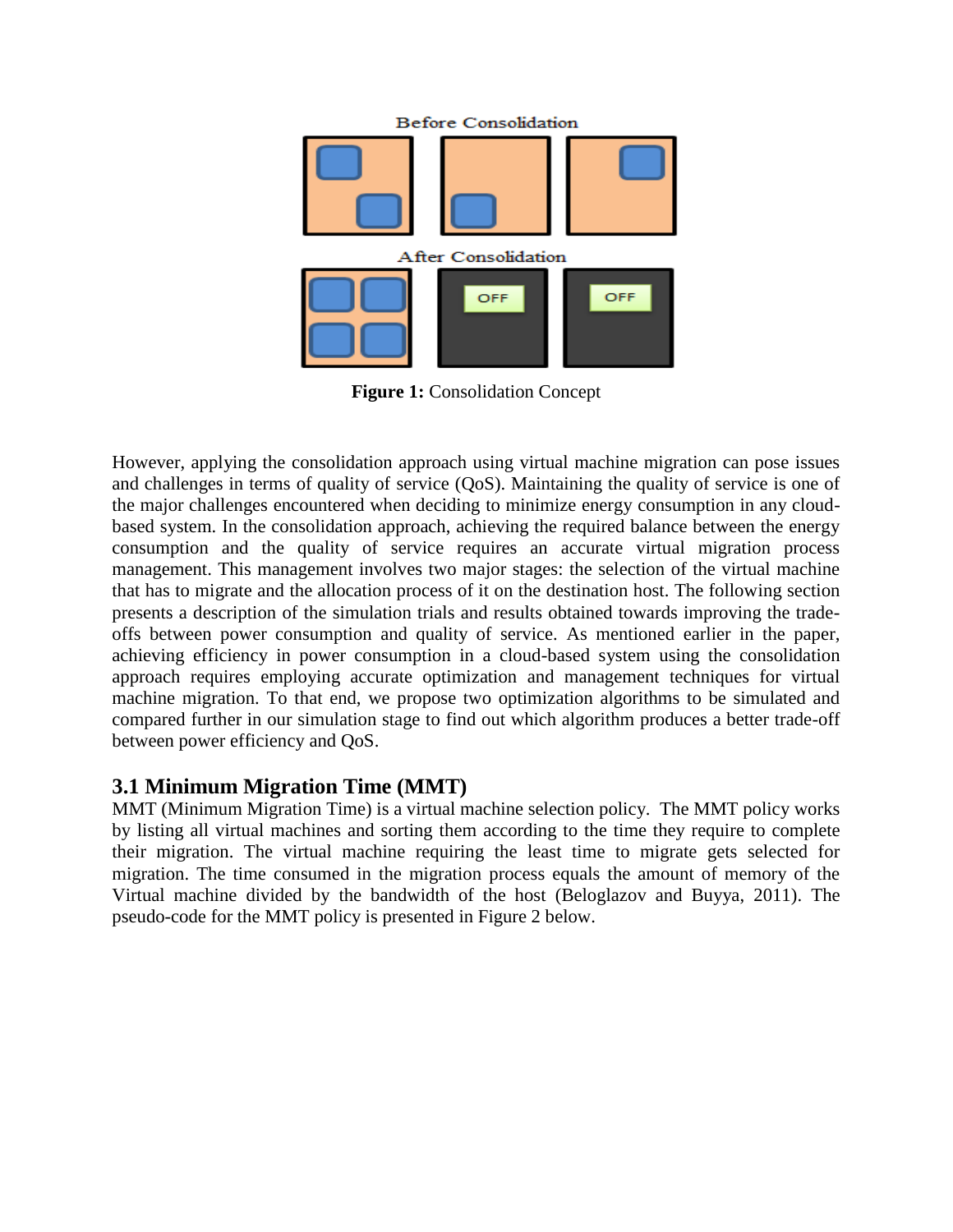

**Figure 1:** Consolidation Concept

However, applying the consolidation approach using virtual machine migration can pose issues and challenges in terms of quality of service (QoS). Maintaining the quality of service is one of the major challenges encountered when deciding to minimize energy consumption in any cloudbased system. In the consolidation approach, achieving the required balance between the energy consumption and the quality of service requires an accurate virtual migration process management. This management involves two major stages: the selection of the virtual machine that has to migrate and the allocation process of it on the destination host. The following section presents a description of the simulation trials and results obtained towards improving the tradeoffs between power consumption and quality of service. As mentioned earlier in the paper, achieving efficiency in power consumption in a cloud-based system using the consolidation approach requires employing accurate optimization and management techniques for virtual machine migration. To that end, we propose two optimization algorithms to be simulated and compared further in our simulation stage to find out which algorithm produces a better trade-off between power efficiency and QoS.

#### **3.1 Minimum Migration Time (MMT)**

MMT (Minimum Migration Time) is a virtual machine selection policy. The MMT policy works by listing all virtual machines and sorting them according to the time they require to complete their migration. The virtual machine requiring the least time to migrate gets selected for migration. The time consumed in the migration process equals the amount of memory of the Virtual machine divided by the bandwidth of the host (Beloglazov and Buyya, 2011). The pseudo-code for the MMT policy is presented in Figure 2 below.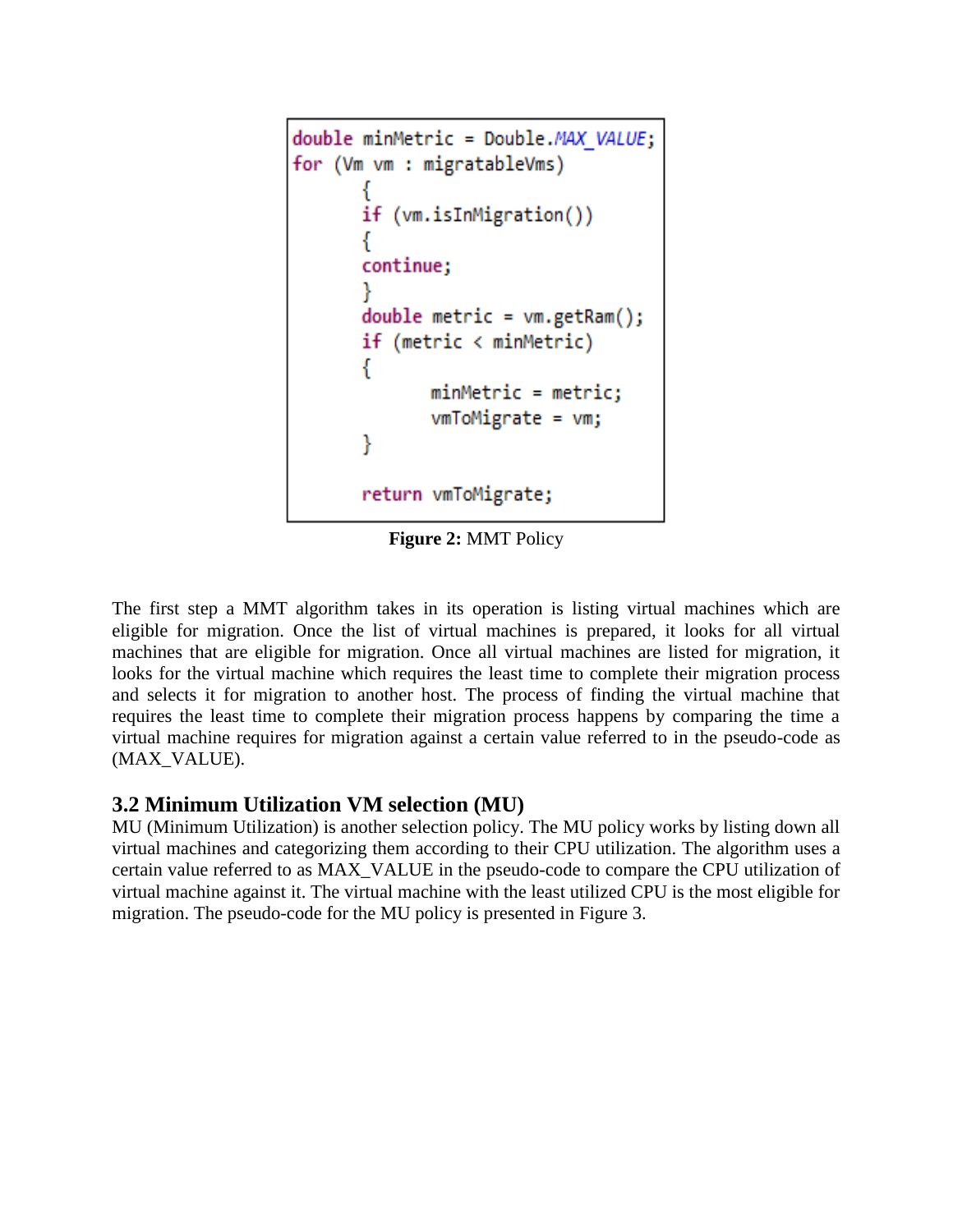```
double minMetric = Double.MAX VALUE;
for (Vm vm : migratableVms)
       if (vm.isInMigration())
       ₹
       continue;
       Y
       double metric = vm.getRam();
       if (metric \langle minMetric)
       ſ
              minMetric = metric;vmToMigrate = \nu m;ł
       return vmToMigrate;
```
**Figure 2:** MMT Policy

The first step a MMT algorithm takes in its operation is listing virtual machines which are eligible for migration. Once the list of virtual machines is prepared, it looks for all virtual machines that are eligible for migration. Once all virtual machines are listed for migration, it looks for the virtual machine which requires the least time to complete their migration process and selects it for migration to another host. The process of finding the virtual machine that requires the least time to complete their migration process happens by comparing the time a virtual machine requires for migration against a certain value referred to in the pseudo-code as (MAX\_VALUE).

#### **3.2 Minimum Utilization VM selection (MU)**

MU (Minimum Utilization) is another selection policy. The MU policy works by listing down all virtual machines and categorizing them according to their CPU utilization. The algorithm uses a certain value referred to as MAX\_VALUE in the pseudo-code to compare the CPU utilization of virtual machine against it. The virtual machine with the least utilized CPU is the most eligible for migration. The pseudo-code for the MU policy is presented in Figure 3.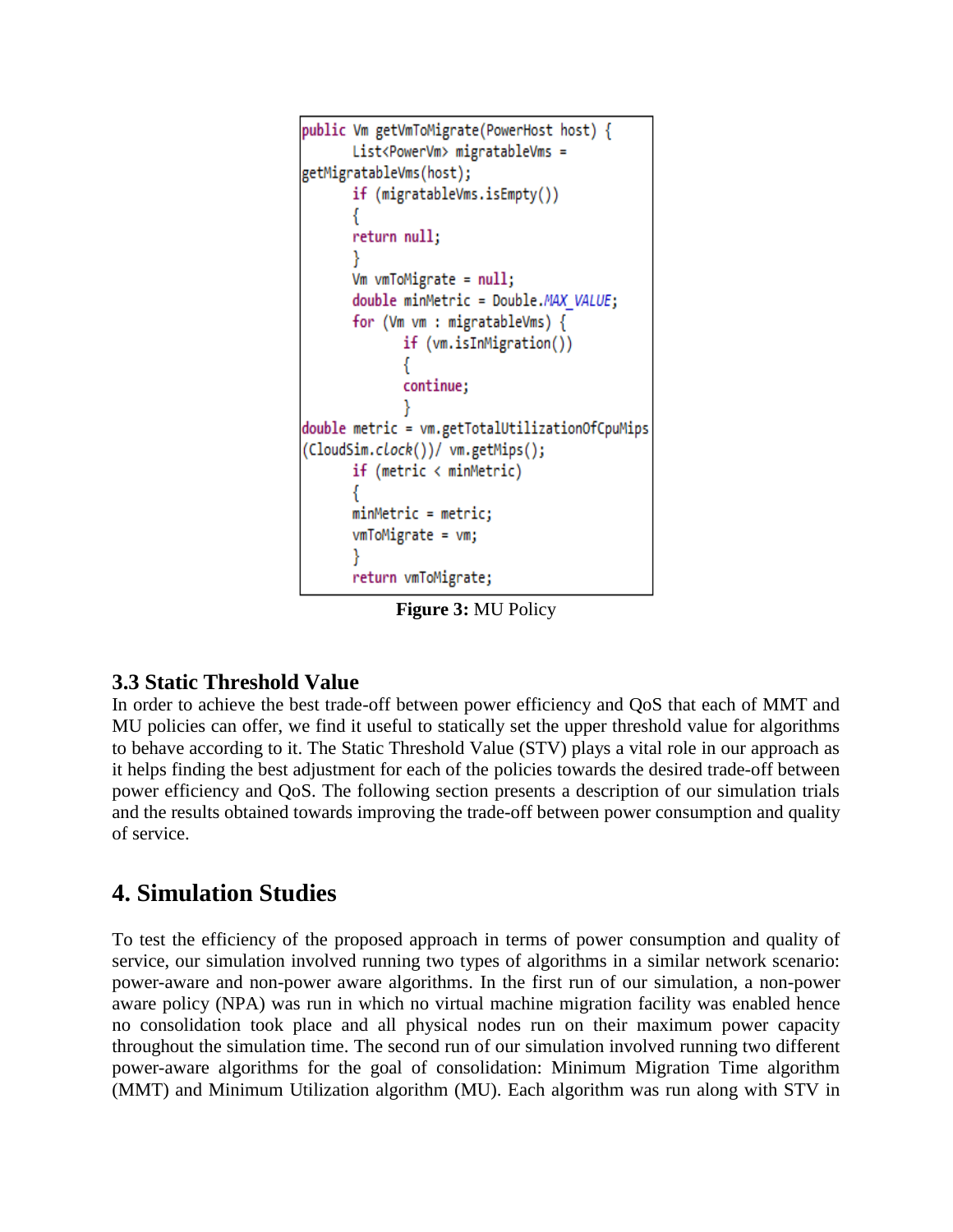```
public Vm getVmToMigrate(PowerHost host) {
      List<PowerVm> migratableVms =
getMigratableVms(host);
      if (migratableVms.isEmpty())
      return null;
      Vm vmToMigrate = null;double minMetric = Double.MAX VALUE;
      for (Vm vm : migratableVms) {
             if (vm.isInMigration())
             ₹
             continue;
double metric = vm.getTotalUtilizationOfCpuMips
(CloudSim.clock())/ vm.getMips();
      if (metric < minmetric)minMetric = metric;vmToMigrate = \nu m;return vmToMigrate;
```
**Figure 3:** MU Policy

#### **3.3 Static Threshold Value**

In order to achieve the best trade-off between power efficiency and QoS that each of MMT and MU policies can offer, we find it useful to statically set the upper threshold value for algorithms to behave according to it. The Static Threshold Value (STV) plays a vital role in our approach as it helps finding the best adjustment for each of the policies towards the desired trade-off between power efficiency and QoS. The following section presents a description of our simulation trials and the results obtained towards improving the trade-off between power consumption and quality of service.

## **4. Simulation Studies**

To test the efficiency of the proposed approach in terms of power consumption and quality of service, our simulation involved running two types of algorithms in a similar network scenario: power-aware and non-power aware algorithms. In the first run of our simulation, a non-power aware policy (NPA) was run in which no virtual machine migration facility was enabled hence no consolidation took place and all physical nodes run on their maximum power capacity throughout the simulation time. The second run of our simulation involved running two different power-aware algorithms for the goal of consolidation: Minimum Migration Time algorithm (MMT) and Minimum Utilization algorithm (MU). Each algorithm was run along with STV in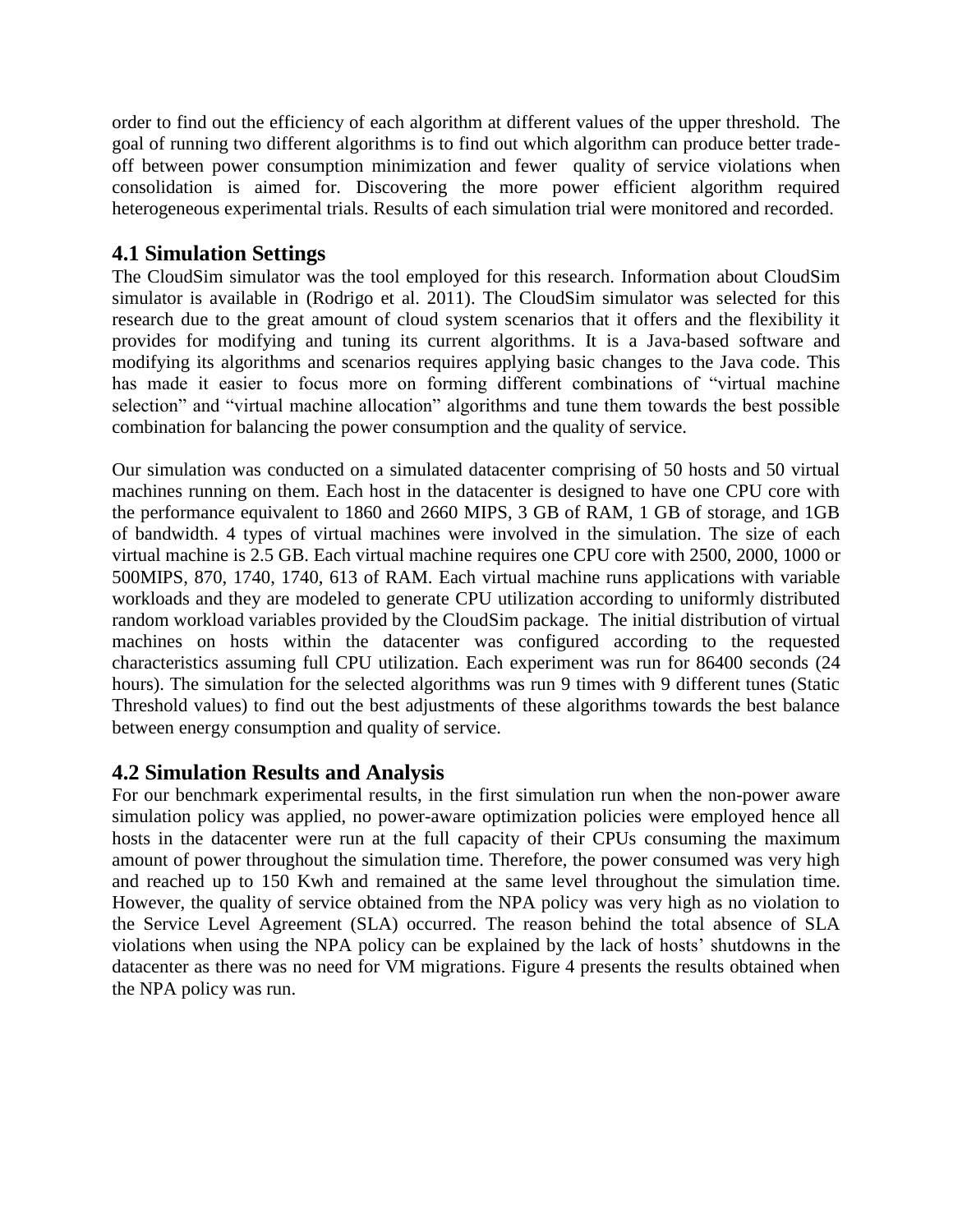order to find out the efficiency of each algorithm at different values of the upper threshold. The goal of running two different algorithms is to find out which algorithm can produce better tradeoff between power consumption minimization and fewer quality of service violations when consolidation is aimed for. Discovering the more power efficient algorithm required heterogeneous experimental trials. Results of each simulation trial were monitored and recorded.

#### **4.1 Simulation Settings**

The CloudSim simulator was the tool employed for this research. Information about CloudSim simulator is available in (Rodrigo et al. 2011). The CloudSim simulator was selected for this research due to the great amount of cloud system scenarios that it offers and the flexibility it provides for modifying and tuning its current algorithms. It is a Java-based software and modifying its algorithms and scenarios requires applying basic changes to the Java code. This has made it easier to focus more on forming different combinations of "virtual machine selection" and "virtual machine allocation" algorithms and tune them towards the best possible combination for balancing the power consumption and the quality of service.

Our simulation was conducted on a simulated datacenter comprising of 50 hosts and 50 virtual machines running on them. Each host in the datacenter is designed to have one CPU core with the performance equivalent to 1860 and 2660 MIPS, 3 GB of RAM, 1 GB of storage, and 1GB of bandwidth. 4 types of virtual machines were involved in the simulation. The size of each virtual machine is 2.5 GB. Each virtual machine requires one CPU core with 2500, 2000, 1000 or 500MIPS, 870, 1740, 1740, 613 of RAM. Each virtual machine runs applications with variable workloads and they are modeled to generate CPU utilization according to uniformly distributed random workload variables provided by the CloudSim package. The initial distribution of virtual machines on hosts within the datacenter was configured according to the requested characteristics assuming full CPU utilization. Each experiment was run for 86400 seconds (24 hours). The simulation for the selected algorithms was run 9 times with 9 different tunes (Static Threshold values) to find out the best adjustments of these algorithms towards the best balance between energy consumption and quality of service.

#### **4.2 Simulation Results and Analysis**

For our benchmark experimental results, in the first simulation run when the non-power aware simulation policy was applied, no power-aware optimization policies were employed hence all hosts in the datacenter were run at the full capacity of their CPUs consuming the maximum amount of power throughout the simulation time. Therefore, the power consumed was very high and reached up to 150 Kwh and remained at the same level throughout the simulation time. However, the quality of service obtained from the NPA policy was very high as no violation to the Service Level Agreement (SLA) occurred. The reason behind the total absence of SLA violations when using the NPA policy can be explained by the lack of hosts' shutdowns in the datacenter as there was no need for VM migrations. Figure 4 presents the results obtained when the NPA policy was run.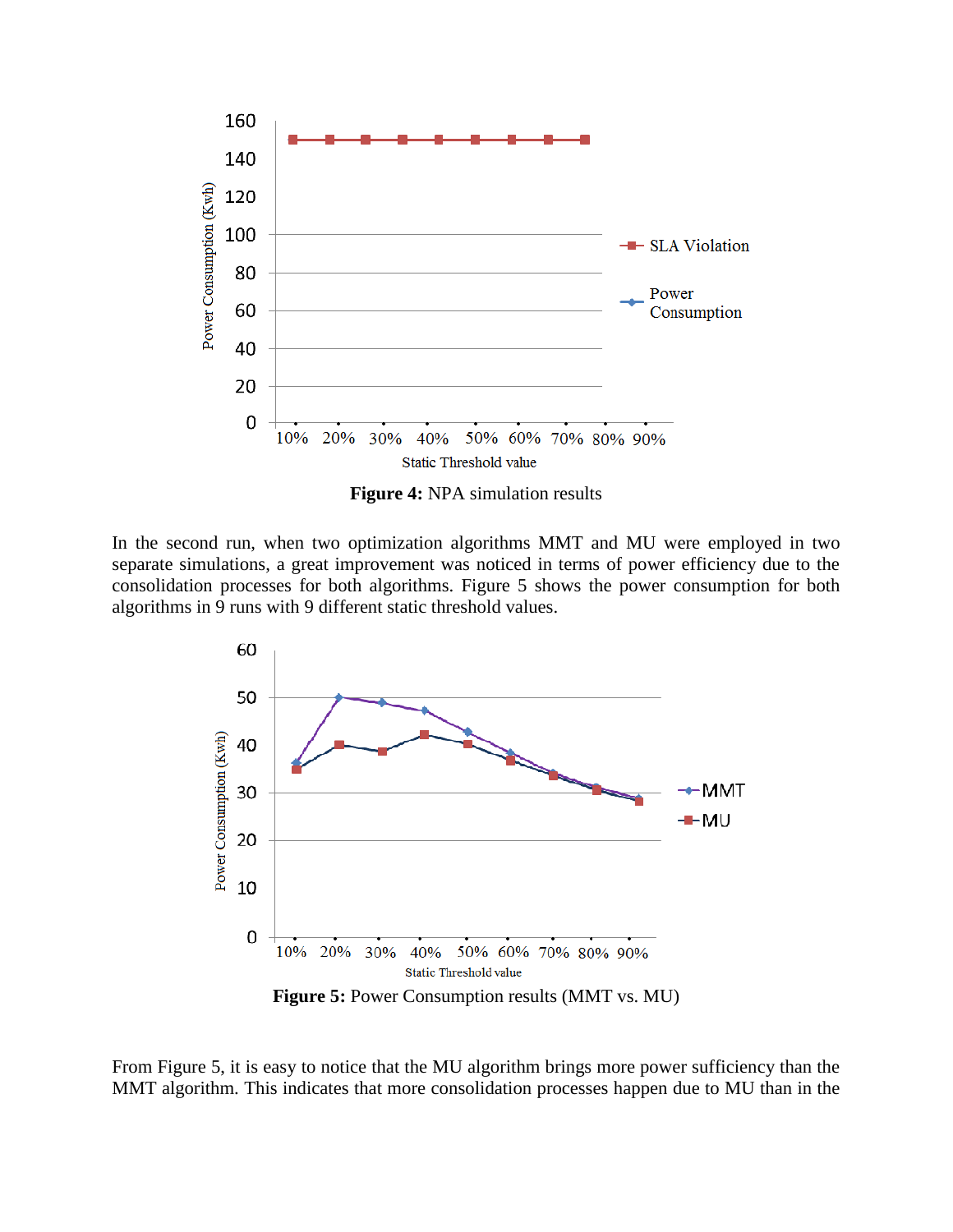

**Figure 4:** NPA simulation results

In the second run, when two optimization algorithms MMT and MU were employed in two separate simulations, a great improvement was noticed in terms of power efficiency due to the consolidation processes for both algorithms. Figure 5 shows the power consumption for both algorithms in 9 runs with 9 different static threshold values.



From Figure 5, it is easy to notice that the MU algorithm brings more power sufficiency than the MMT algorithm. This indicates that more consolidation processes happen due to MU than in the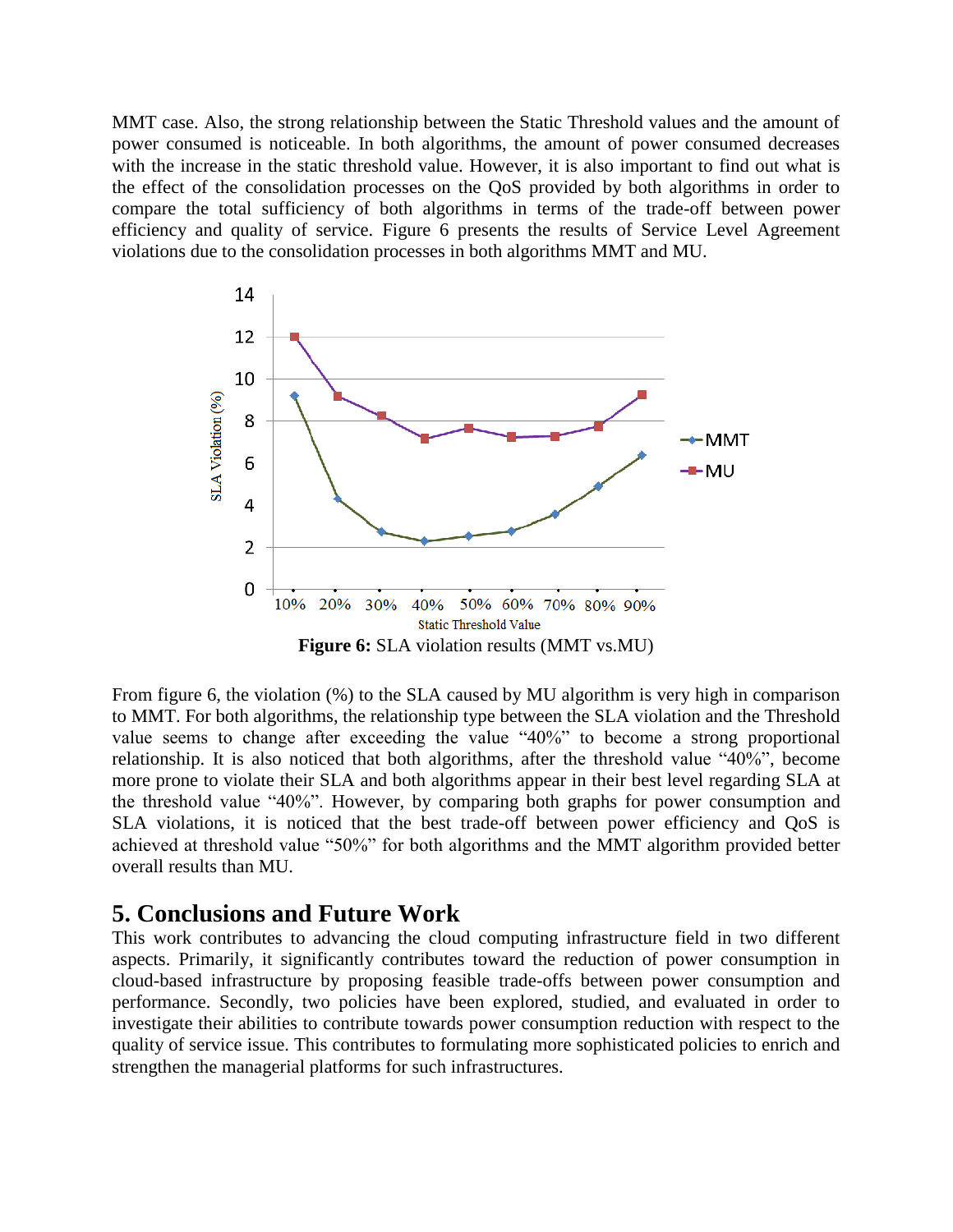MMT case. Also, the strong relationship between the Static Threshold values and the amount of power consumed is noticeable. In both algorithms, the amount of power consumed decreases with the increase in the static threshold value. However, it is also important to find out what is the effect of the consolidation processes on the QoS provided by both algorithms in order to compare the total sufficiency of both algorithms in terms of the trade-off between power efficiency and quality of service. Figure 6 presents the results of Service Level Agreement violations due to the consolidation processes in both algorithms MMT and MU.



From figure 6, the violation (%) to the SLA caused by MU algorithm is very high in comparison to MMT. For both algorithms, the relationship type between the SLA violation and the Threshold value seems to change after exceeding the value "40%" to become a strong proportional relationship. It is also noticed that both algorithms, after the threshold value "40%", become more prone to violate their SLA and both algorithms appear in their best level regarding SLA at the threshold value "40%". However, by comparing both graphs for power consumption and SLA violations, it is noticed that the best trade-off between power efficiency and QoS is achieved at threshold value "50%" for both algorithms and the MMT algorithm provided better overall results than MU.

#### **5. Conclusions and Future Work**

This work contributes to advancing the cloud computing infrastructure field in two different aspects. Primarily, it significantly contributes toward the reduction of power consumption in cloud-based infrastructure by proposing feasible trade-offs between power consumption and performance. Secondly, two policies have been explored, studied, and evaluated in order to investigate their abilities to contribute towards power consumption reduction with respect to the quality of service issue. This contributes to formulating more sophisticated policies to enrich and strengthen the managerial platforms for such infrastructures.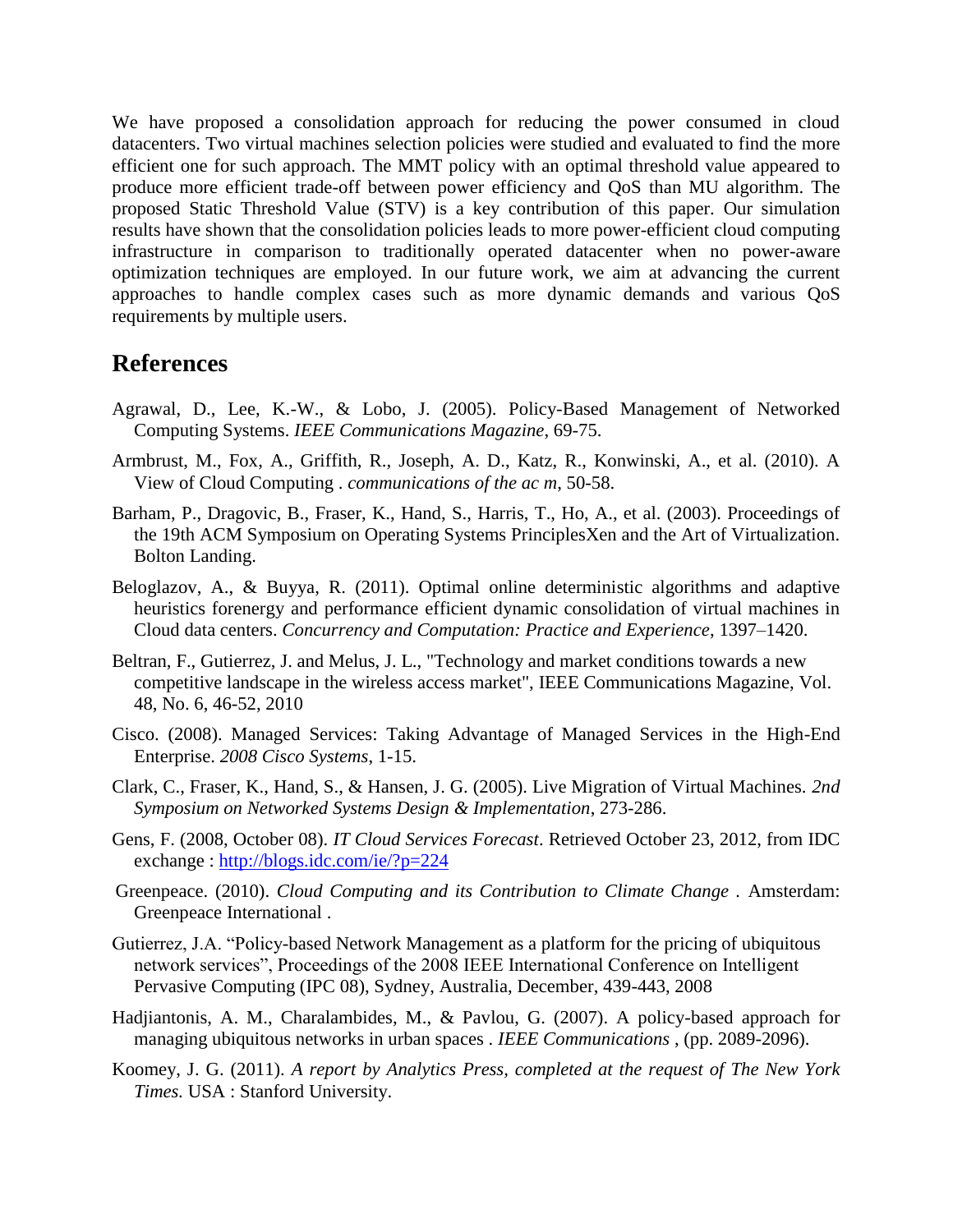We have proposed a consolidation approach for reducing the power consumed in cloud datacenters. Two virtual machines selection policies were studied and evaluated to find the more efficient one for such approach. The MMT policy with an optimal threshold value appeared to produce more efficient trade-off between power efficiency and QoS than MU algorithm. The proposed Static Threshold Value (STV) is a key contribution of this paper. Our simulation results have shown that the consolidation policies leads to more power-efficient cloud computing infrastructure in comparison to traditionally operated datacenter when no power-aware optimization techniques are employed. In our future work, we aim at advancing the current approaches to handle complex cases such as more dynamic demands and various QoS requirements by multiple users.

#### **References**

- Agrawal, D., Lee, K.-W., & Lobo, J. (2005). Policy-Based Management of Networked Computing Systems. *IEEE Communications Magazine*, 69-75.
- Armbrust, M., Fox, A., Griffith, R., Joseph, A. D., Katz, R., Konwinski, A., et al. (2010). A View of Cloud Computing . *communications of the ac m*, 50-58.
- Barham, P., Dragovic, B., Fraser, K., Hand, S., Harris, T., Ho, A., et al. (2003). Proceedings of the 19th ACM Symposium on Operating Systems PrinciplesXen and the Art of Virtualization. Bolton Landing.
- Beloglazov, A., & Buyya, R. (2011). Optimal online deterministic algorithms and adaptive heuristics forenergy and performance efficient dynamic consolidation of virtual machines in Cloud data centers. *Concurrency and Computation: Practice and Experience*, 1397–1420.
- Beltran, F., Gutierrez, J. and Melus, J. L., "Technology and market conditions towards a new competitive landscape in the wireless access market", IEEE Communications Magazine, Vol. 48, No. 6, 46-52, 2010
- Cisco. (2008). Managed Services: Taking Advantage of Managed Services in the High-End Enterprise. *2008 Cisco Systems*, 1-15.
- Clark, C., Fraser, K., Hand, S., & Hansen, J. G. (2005). Live Migration of Virtual Machines. *2nd Symposium on Networked Systems Design & Implementation*, 273-286.
- Gens, F. (2008, October 08). *IT Cloud Services Forecast*. Retrieved October 23, 2012, from IDC exchange :<http://blogs.idc.com/ie/?p=224>
- Greenpeace. (2010). *Cloud Computing and its Contribution to Climate Change .* Amsterdam: Greenpeace International .
- Gutierrez, J.A. "Policy-based Network Management as a platform for the pricing of ubiquitous network services", Proceedings of the 2008 IEEE International Conference on Intelligent Pervasive Computing (IPC 08), Sydney, Australia, December, 439-443, 2008
- Hadjiantonis, A. M., Charalambides, M., & Pavlou, G. (2007). A policy-based approach for managing ubiquitous networks in urban spaces . *IEEE Communications* , (pp. 2089-2096).
- Koomey, J. G. (2011). *A report by Analytics Press, completed at the request of The New York Times.* USA : Stanford University.